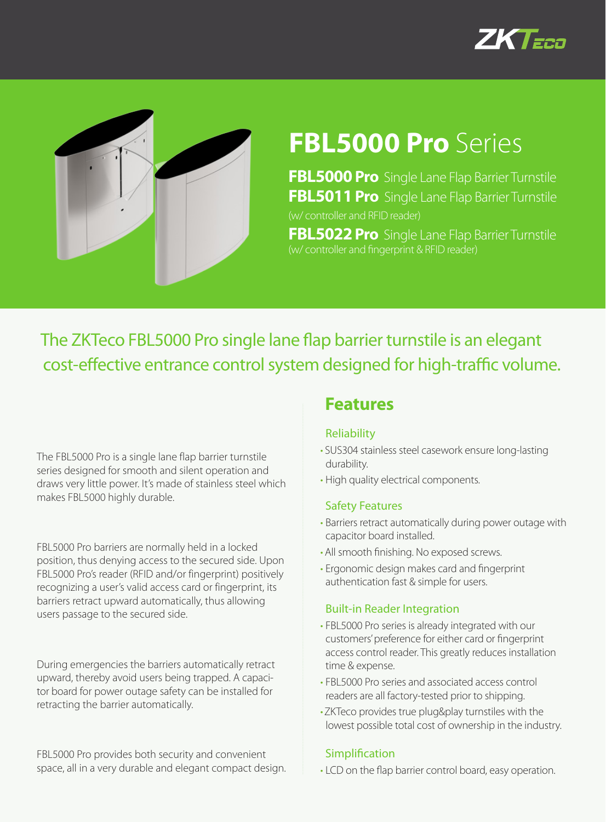



# **FBL5000 Pro** Series

**FBL5000 Pro** Single Lane Flap Barrier Turnstile **FBL5011 Pro** Single Lane Flap Barrier Turnstile (w/ controller and RFID reader)

**FBL5022 Pro** Single Lane Flap Barrier Turnstile (w/ controller and fingerprint & RFID reader)

The ZKTeco FBL5000 Pro single lane flap barrier turnstile is an elegant cost-effective entrance control system designed for high-traffic volume.

The FBL5000 Pro is a single lane flap barrier turnstile series designed for smooth and silent operation and draws very little power. It's made of stainless steel which makes FBL5000 highly durable.

FBL5000 Pro barriers are normally held in a locked position, thus denying access to the secured side. Upon FBL5000 Pro's reader (RFID and/or fingerprint) positively recognizing a user's valid access card or fingerprint, its barriers retract upward automatically, thus allowing users passage to the secured side.

During emergencies the barriers automatically retract upward, thereby avoid users being trapped. A capacitor board for power outage safety can be installed for retracting the barrier automatically.

FBL5000 Pro provides both security and convenient space, all in a very durable and elegant compact design.

### **Features**

#### Reliability

- SUS304 stainless steel casework ensure long-lasting durability.
- High quality electrical components.

#### Safety Features

- Barriers retract automatically during power outage with capacitor board installed.
- All smooth finishing. No exposed screws.
- Ergonomic design makes card and fingerprint authentication fast & simple for users.

#### Built-in Reader Integration

- FBL5000 Pro series is already integrated with our customers' preference for either card or fingerprint access control reader. This greatly reduces installation time & expense.
- FBL5000 Pro series and associated access control readers are all factory-tested prior to shipping.
- •ZKTeco provides true plug&play turnstiles with the lowest possible total cost of ownership in the industry.

#### Simplification

• LCD on the flap barrier control board, easy operation.